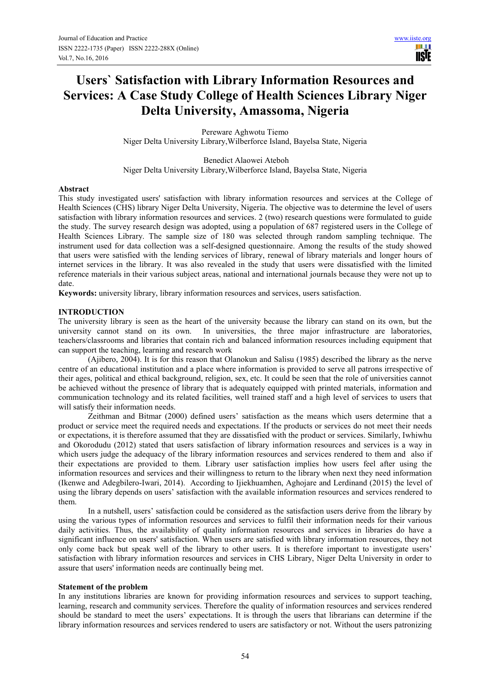H **USIE** 

# **Users` Satisfaction with Library Information Resources and Services: A Case Study College of Health Sciences Library Niger Delta University, Amassoma, Nigeria**

Pereware Aghwotu Tiemo Niger Delta University Library,Wilberforce Island, Bayelsa State, Nigeria

 Benedict Alaowei Ateboh Niger Delta University Library,Wilberforce Island, Bayelsa State, Nigeria

## **Abstract**

This study investigated users' satisfaction with library information resources and services at the College of Health Sciences (CHS) library Niger Delta University, Nigeria. The objective was to determine the level of users satisfaction with library information resources and services. 2 (two) research questions were formulated to guide the study. The survey research design was adopted, using a population of 687 registered users in the College of Health Sciences Library. The sample size of 180 was selected through random sampling technique. The instrument used for data collection was a self-designed questionnaire. Among the results of the study showed that users were satisfied with the lending services of library, renewal of library materials and longer hours of internet services in the library. It was also revealed in the study that users were dissatisfied with the limited reference materials in their various subject areas, national and international journals because they were not up to date.

**Keywords:** university library, library information resources and services, users satisfaction.

## **INTRODUCTION**

The university library is seen as the heart of the university because the library can stand on its own, but the university cannot stand on its own. In universities, the three major infrastructure are laboratories, teachers/classrooms and libraries that contain rich and balanced information resources including equipment that can support the teaching, learning and research work

(Ajibero, 2004). It is for this reason that Olanokun and Salisu (1985) described the library as the nerve centre of an educational institution and a place where information is provided to serve all patrons irrespective of their ages, political and ethical background, religion, sex, etc. It could be seen that the role of universities cannot be achieved without the presence of library that is adequately equipped with printed materials, information and communication technology and its related facilities, well trained staff and a high level of services to users that will satisfy their information needs.

Zeithman and Bitmar (2000) defined users' satisfaction as the means which users determine that a product or service meet the required needs and expectations. If the products or services do not meet their needs or expectations, it is therefore assumed that they are dissatisfied with the product or services. Similarly, Iwhiwhu and Okorodudu (2012) stated that users satisfaction of library information resources and services is a way in which users judge the adequacy of the library information resources and services rendered to them and also if their expectations are provided to them. Library user satisfaction implies how users feel after using the information resources and services and their willingness to return to the library when next they need information (Ikenwe and Adegbilero-Iwari, 2014). According to Ijiekhuamhen, Aghojare and Lerdinand (2015) the level of using the library depends on users' satisfaction with the available information resources and services rendered to them.

In a nutshell, users' satisfaction could be considered as the satisfaction users derive from the library by using the various types of information resources and services to fulfil their information needs for their various daily activities. Thus, the availability of quality information resources and services in libraries do have a significant influence on users' satisfaction. When users are satisfied with library information resources, they not only come back but speak well of the library to other users. It is therefore important to investigate users' satisfaction with library information resources and services in CHS Library, Niger Delta University in order to assure that users' information needs are continually being met.

#### **Statement of the problem**

In any institutions libraries are known for providing information resources and services to support teaching, learning, research and community services. Therefore the quality of information resources and services rendered should be standard to meet the users' expectations. It is through the users that librarians can determine if the library information resources and services rendered to users are satisfactory or not. Without the users patronizing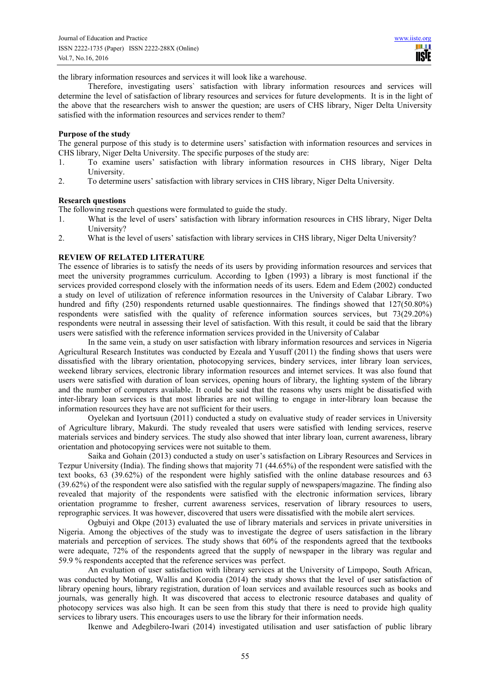the library information resources and services it will look like a warehouse.

Therefore, investigating users` satisfaction with library information resources and services will determine the level of satisfaction of library resources and services for future developments. It is in the light of the above that the researchers wish to answer the question; are users of CHS library, Niger Delta University satisfied with the information resources and services render to them?

#### **Purpose of the study**

The general purpose of this study is to determine users' satisfaction with information resources and services in CHS library, Niger Delta University. The specific purposes of the study are:

- 1. To examine users' satisfaction with library information resources in CHS library, Niger Delta University.
- 2. To determine users' satisfaction with library services in CHS library, Niger Delta University.

#### **Research questions**

The following research questions were formulated to guide the study.

- 1. What is the level of users' satisfaction with library information resources in CHS library, Niger Delta University?
- 2. What is the level of users' satisfaction with library services in CHS library, Niger Delta University?

# **REVIEW OF RELATED LITERATURE**

The essence of libraries is to satisfy the needs of its users by providing information resources and services that meet the university programmes curriculum. According to Igben (1993) a library is most functional if the services provided correspond closely with the information needs of its users. Edem and Edem (2002) conducted a study on level of utilization of reference information resources in the University of Calabar Library. Two hundred and fifty (250) respondents returned usable questionnaires. The findings showed that  $127(50.80\%)$ respondents were satisfied with the quality of reference information sources services, but 73(29.20%) respondents were neutral in assessing their level of satisfaction. With this result, it could be said that the library users were satisfied with the reference information services provided in the University of Calabar

In the same vein, a study on user satisfaction with library information resources and services in Nigeria Agricultural Research Institutes was conducted by Ezeala and Yusuff (2011) the finding shows that users were dissatisfied with the library orientation, photocopying services, bindery services, inter library loan services, weekend library services, electronic library information resources and internet services. It was also found that users were satisfied with duration of loan services, opening hours of library, the lighting system of the library and the number of computers available. It could be said that the reasons why users might be dissatisfied with inter-library loan services is that most libraries are not willing to engage in inter-library loan because the information resources they have are not sufficient for their users.

Oyelekan and Iyortsuun (2011) conducted a study on evaluative study of reader services in University of Agriculture library, Makurdi. The study revealed that users were satisfied with lending services, reserve materials services and bindery services. The study also showed that inter library loan, current awareness, library orientation and photocopying services were not suitable to them.

Saika and Gohain (2013) conducted a study on user's satisfaction on Library Resources and Services in Tezpur University (India). The finding shows that majority 71 (44.65%) of the respondent were satisfied with the text books, 63 (39.62%) of the respondent were highly satisfied with the online database resources and 63 (39.62%) of the respondent were also satisfied with the regular supply of newspapers/magazine. The finding also revealed that majority of the respondents were satisfied with the electronic information services, library orientation programme to fresher, current awareness services, reservation of library resources to users, reprographic services. It was however, discovered that users were dissatisfied with the mobile alert services.

Ogbuiyi and Okpe (2013) evaluated the use of library materials and services in private universities in Nigeria. Among the objectives of the study was to investigate the degree of users satisfaction in the library materials and perception of services. The study shows that 60% of the respondents agreed that the textbooks were adequate, 72% of the respondents agreed that the supply of newspaper in the library was regular and 59.9 % respondents accepted that the reference services was perfect.

An evaluation of user satisfaction with library services at the University of Limpopo, South African, was conducted by Motiang, Wallis and Korodia (2014) the study shows that the level of user satisfaction of library opening hours, library registration, duration of loan services and available resources such as books and journals, was generally high. It was discovered that access to electronic resource databases and quality of photocopy services was also high. It can be seen from this study that there is need to provide high quality services to library users. This encourages users to use the library for their information needs.

Ikenwe and Adegbilero-Iwari (2014) investigated utilisation and user satisfaction of public library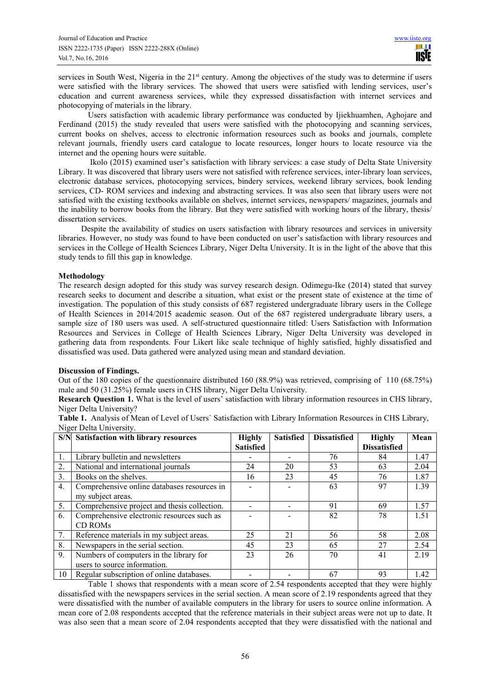services in South West, Nigeria in the 21<sup>st</sup> century. Among the objectives of the study was to determine if users were satisfied with the library services. The showed that users were satisfied with lending services, user's education and current awareness services, while they expressed dissatisfaction with internet services and photocopying of materials in the library.

Users satisfaction with academic library performance was conducted by Ijiekhuamhen, Aghojare and Ferdinand (2015) the study revealed that users were satisfied with the photocopying and scanning services, current books on shelves, access to electronic information resources such as books and journals, complete relevant journals, friendly users card catalogue to locate resources, longer hours to locate resource via the internet and the opening hours were suitable.

 Ikolo (2015) examined user's satisfaction with library services: a case study of Delta State University Library. It was discovered that library users were not satisfied with reference services, inter-library loan services, electronic database services, photocopying services, bindery services, weekend library services, book lending services, CD- ROM services and indexing and abstracting services. It was also seen that library users were not satisfied with the existing textbooks available on shelves, internet services, newspapers/ magazines, journals and the inability to borrow books from the library. But they were satisfied with working hours of the library, thesis/ dissertation services.

 Despite the availability of studies on users satisfaction with library resources and services in university libraries. However, no study was found to have been conducted on user's satisfaction with library resources and services in the College of Health Sciences Library, Niger Delta University. It is in the light of the above that this study tends to fill this gap in knowledge.

# **Methodology**

The research design adopted for this study was survey research design. Odimegu-Ike (2014) stated that survey research seeks to document and describe a situation, what exist or the present state of existence at the time of investigation. The population of this study consists of 687 registered undergraduate library users in the College of Health Sciences in 2014/2015 academic season. Out of the 687 registered undergraduate library users, a sample size of 180 users was used. A self-structured questionnaire titled: Users Satisfaction with Information Resources and Services in College of Health Sciences Library, Niger Delta University was developed in gathering data from respondents. Four Likert like scale technique of highly satisfied, highly dissatisfied and dissatisfied was used. Data gathered were analyzed using mean and standard deviation.

# **Discussion of Findings.**

Out of the 180 copies of the questionnaire distributed 160 (88.9%) was retrieved, comprising of 110 (68.75%) male and 50 (31.25%) female users in CHS library, Niger Delta University.

**Research Question 1.** What is the level of users' satisfaction with library information resources in CHS library, Niger Delta University?

|                  | S/N Satisfaction with library resources      | <b>Highly</b>    | <b>Satisfied</b> | <b>Dissatisfied</b> | <b>Highly</b>       | Mean |
|------------------|----------------------------------------------|------------------|------------------|---------------------|---------------------|------|
|                  |                                              | <b>Satisfied</b> |                  |                     | <b>Dissatisfied</b> |      |
|                  | Library bulletin and newsletters             |                  |                  | 76                  | 84                  | 1.47 |
| 2.               | National and international journals          | 24               | 20               | 53                  | 63                  | 2.04 |
| 3.               | Books on the shelves.                        | 16               | 23               | 45                  | 76                  | 1.87 |
| $\overline{4}$ . | Comprehensive online databases resources in  |                  |                  | 63                  | 97                  | 1.39 |
|                  | my subject areas.                            |                  |                  |                     |                     |      |
| 5.               | Comprehensive project and thesis collection. |                  |                  | 91                  | 69                  | 1.57 |
| 6 <sub>1</sub>   | Comprehensive electronic resources such as   |                  |                  | 82                  | 78                  | 1.51 |
|                  | CD ROM <sub>s</sub>                          |                  |                  |                     |                     |      |
| 7.               | Reference materials in my subject areas.     | 25               | 21               | 56                  | 58                  | 2.08 |
| 8.               | Newspapers in the serial section.            | 45               | 23               | 65                  | 27                  | 2.54 |
| 9.               | Numbers of computers in the library for      | 23               | 26               | 70                  | 41                  | 2.19 |
|                  | users to source information.                 |                  |                  |                     |                     |      |
| 10               | Regular subscription of online databases.    |                  |                  | 67                  | 93                  | 1.42 |

**Table 1.** Analysis of Mean of Level of Users` Satisfaction with Library Information Resources in CHS Library, Niger Delta University.

Table 1 shows that respondents with a mean score of 2.54 respondents accepted that they were highly dissatisfied with the newspapers services in the serial section. A mean score of 2.19 respondents agreed that they were dissatisfied with the number of available computers in the library for users to source online information. A mean core of 2.08 respondents accepted that the reference materials in their subject areas were not up to date. It was also seen that a mean score of 2.04 respondents accepted that they were dissatisfied with the national and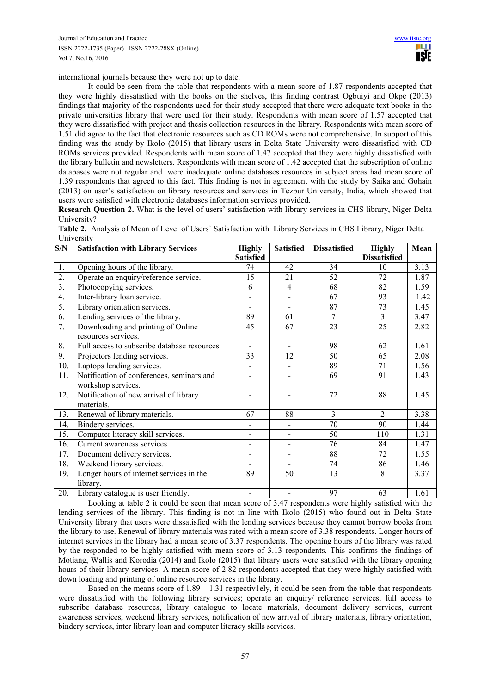international journals because they were not up to date.

It could be seen from the table that respondents with a mean score of 1.87 respondents accepted that they were highly dissatisfied with the books on the shelves, this finding contrast Ogbuiyi and Okpe (2013) findings that majority of the respondents used for their study accepted that there were adequate text books in the private universities library that were used for their study. Respondents with mean score of 1.57 accepted that they were dissatisfied with project and thesis collection resources in the library. Respondents with mean score of 1.51 did agree to the fact that electronic resources such as CD ROMs were not comprehensive. In support of this finding was the study by Ikolo (2015) that library users in Delta State University were dissatisfied with CD ROMs services provided. Respondents with mean score of 1.47 accepted that they were highly dissatisfied with the library bulletin and newsletters. Respondents with mean score of 1.42 accepted that the subscription of online databases were not regular and were inadequate online databases resources in subject areas had mean score of 1.39 respondents that agreed to this fact. This finding is not in agreement with the study by Saika and Gohain (2013) on user's satisfaction on library resources and services in Tezpur University, India, which showed that users were satisfied with electronic databases information services provided.

**Research Question 2.** What is the level of users' satisfaction with library services in CHS library, Niger Delta University?

|            | Table 2. Analysis of Mean of Level of Users' Satisfaction with Library Services in CHS Library, Niger Delta |  |  |
|------------|-------------------------------------------------------------------------------------------------------------|--|--|
| University |                                                                                                             |  |  |

| S/N              | <b>Satisfaction with Library Services</b>                       | <b>Highly</b>            | <b>Satisfied</b>             | <b>Dissatisfied</b> | <b>Highly</b>       | Mean |
|------------------|-----------------------------------------------------------------|--------------------------|------------------------------|---------------------|---------------------|------|
|                  |                                                                 | <b>Satisfied</b>         |                              |                     | <b>Dissatisfied</b> |      |
| 1.               | Opening hours of the library.                                   | 74                       | 42                           | 34                  | 10                  | 3.13 |
| $\overline{2}$ . | Operate an enquiry/reference service.                           | 15                       | 21                           | 52                  | 72                  | 1.87 |
| $\overline{3}$ . | Photocopying services.                                          | 6                        | $\overline{4}$               | 68                  | 82                  | 1.59 |
| $\overline{4}$ . | Inter-library loan service.                                     | $\overline{\phantom{0}}$ | $\overline{\phantom{0}}$     | 67                  | 93                  | 1.42 |
| 5.               | Library orientation services.                                   |                          | -                            | 87                  | 73                  | 1.45 |
| $\overline{6}$ . | Lending services of the library.                                | 89                       | 61                           | $\overline{7}$      | $\mathfrak{Z}$      | 3.47 |
| 7.               | Downloading and printing of Online<br>resources services.       | 45                       | 67                           | 23                  | 25                  | 2.82 |
| 8.               | Full access to subscribe database resources.                    | $\blacksquare$           | $\blacksquare$               | 98                  | 62                  | 1.61 |
| 9.               | Projectors lending services.                                    | 33                       | 12                           | 50                  | 65                  | 2.08 |
| 10.              | Laptops lending services.                                       | $\blacksquare$           | $\qquad \qquad \blacksquare$ | 89                  | 71                  | 1.56 |
| 11.              | Notification of conferences, seminars and<br>workshop services. |                          |                              | 69                  | 91                  | 1.43 |
| 12.              | Notification of new arrival of library<br>materials.            | $\blacksquare$           | $\overline{a}$               | 72                  | 88                  | 1.45 |
| 13.              | Renewal of library materials.                                   | 67                       | 88                           | $\overline{3}$      | $\overline{2}$      | 3.38 |
| 14.              | Bindery services.                                               | $\frac{1}{2}$            | $\overline{\phantom{0}}$     | $\overline{70}$     | 90                  | 1.44 |
| 15.              | Computer literacy skill services.                               | $\overline{a}$           | -                            | 50                  | 110                 | 1.31 |
| 16.              | Current awareness services.                                     | $\overline{a}$           | -                            | 76                  | 84                  | 1.47 |
| 17.              | Document delivery services.                                     | $\blacksquare$           | -                            | 88                  | 72                  | 1.55 |
| 18.              | Weekend library services.                                       | $\blacksquare$           |                              | 74                  | 86                  | 1.46 |
| 19.              | Longer hours of internet services in the<br>library.            | 89                       | 50                           | 13                  | 8                   | 3.37 |
| 20.              | Library catalogue is user friendly.                             | $\overline{a}$           |                              | 97                  | 63                  | 1.61 |

Looking at table 2 it could be seen that mean score of 3.47 respondents were highly satisfied with the lending services of the library. This finding is not in line with Ikolo (2015) who found out in Delta State University library that users were dissatisfied with the lending services because they cannot borrow books from the library to use. Renewal of library materials was rated with a mean score of 3.38 respondents. Longer hours of internet services in the library had a mean score of 3.37 respondents. The opening hours of the library was rated by the responded to be highly satisfied with mean score of 3.13 respondents. This confirms the findings of Motiang, Wallis and Korodia (2014) and Ikolo (2015) that library users were satisfied with the library opening hours of their library services. A mean score of 2.82 respondents accepted that they were highly satisfied with down loading and printing of online resource services in the library.

Based on the means score of  $1.89 - 1.31$  respectiv1ely, it could be seen from the table that respondents were dissatisfied with the following library services; operate an enquiry/ reference services, full access to subscribe database resources, library catalogue to locate materials, document delivery services, current awareness services, weekend library services, notification of new arrival of library materials, library orientation, bindery services, inter library loan and computer literacy skills services.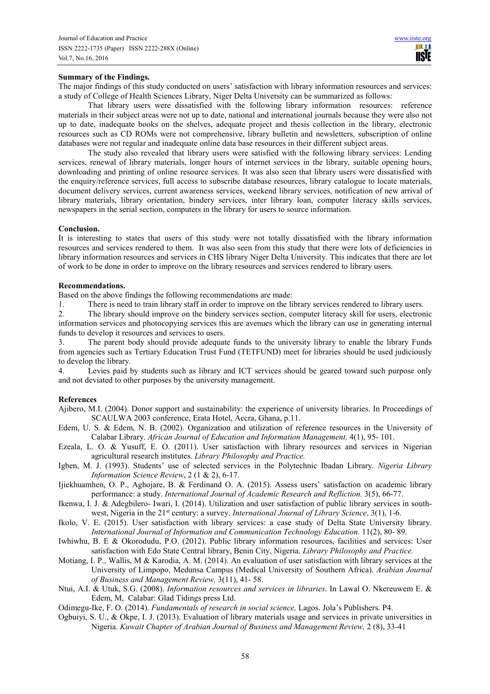# **Summary of the Findings.**

The major findings of this study conducted on users' satisfaction with library information resources and services: a study of College of Health Sciences Library, Niger Delta University can be summarized as follows:

That library users were dissatisfied with the following library information resources: reference materials in their subject areas were not up to date, national and international journals because they were also not up to date, inadequate books on the shelves, adequate project and thesis collection in the library, electronic resources such as CD ROMs were not comprehensive, library bulletin and newsletters, subscription of online databases were not regular and inadequate online data base resources in their different subject areas.

The study also revealed that library users were satisfied with the following library services: Lending services, renewal of library materials, longer hours of internet services in the library, suitable opening hours, downloading and printing of online resource services. It was also seen that library users were dissatisfied with the enquiry/reference services, full access to subscribe database resources, library catalogue to locate materials, document delivery services, current awareness services, weekend library services, notification of new arrival of library materials, library orientation, bindery services, inter library loan, computer literacy skills services, newspapers in the serial section, computers in the library for users to source information.

#### **Conclusion.**

It is interesting to states that users of this study were not totally dissatisfied with the library information resources and services rendered to them. It was also seen from this study that there were lots of deficiencies in library information resources and services in CHS library Niger Delta University. This indicates that there are lot of work to be done in order to improve on the library resources and services rendered to library users.

#### **Recommendations.**

Based on the above findings the following recommendations are made:

1. There is need to train library staff in order to improve on the library services rendered to library users.

2. The library should improve on the bindery services section, computer literacy skill for users, electronic information services and photocopying services this are avenues which the library can use in generating internal funds to develop it resources and services to users.

The parent body should provide adequate funds to the university library to enable the library Funds from agencies such as Tertiary Education Trust Fund (TETFUND) meet for libraries should be used judiciously to develop the library.

4. Levies paid by students such as library and ICT services should be geared toward such purpose only and not deviated to other purposes by the university management.

# **References**

Ajibero, M.I. (2004). Donor support and sustainability: the experience of university libraries. In Proceedings of SCAULWA 2003 conference, Erata Hotel, Accra, Ghana, p.11.

- Edem, U. S. & Edem, N. B. (2002). Organization and utilization of reference resources in the University of Calabar Library. *African Journal of Education and Information Management,* 4(1), 95- 101.
- Ezeala, L. O. & Yusuff, E. O. (2011). User satisfaction with library resources and services in Nigerian agricultural research institutes. *Library Philosophy and Practice.*
- Igben, M. J. (1993). Students' use of selected services in the Polytechnic Ibadan Library. *Nigeria Library Information Science Review*, 2 (1 & 2), 6-17.
- Ijiekhuamhen, O. P., Aghojare, B. & Ferdinand O. A. (2015). Assess users' satisfaction on academic library performance: a study. *International Journal of Academic Research and Refliction.* 3(5), 66-77.
- Ikenwa, I. J. & Adegbilero- Iwari, I. (2014). Utilization and user satisfaction of public library services in southwest, Nigeria in the 21<sup>st</sup> century: a survey. *International Journal of Library Science*, 3(1), 1-6.
- Ikolo, V. E. (2015). User satisfaction with library services: a case study of Delta State University library. *Int*e*rnational Journal of Information and Communication Technology Education.* 11(2), 80- 89.
- Iwhiwhu, B. E & Okorodudu, P.O. (2012). Public library information resources, facilities and services: User satisfaction with Edo State Central library, Benin City, Nigeria. *Library Philosophy and Practice.*
- Motiang, I. P., Wallis, M & Karodia, A. M. (2014). An evaluation of user satisfaction with library services at the University of Limpopo, Medunsa Campus (Medical University of Southern Africa). *Arabian Journal of Business and Management Review,* 3(11), 41- 58.
- Ntui, A.I. & Utuk, S.G. (2008). *Information resources and services in libraries*. In Lawal O. Nkereuwem E. & Edem, M, Calabar: Glad Tidings press Ltd.
- Odimegu-Ike, F. O. (2014). *Fundamentals of research in social science,* Lagos. Jola's Publishers. P4.
- Ogbuiyi, S. U., & Okpe, I. J. (2013). Evaluation of library materials usage and services in private universities in Nigeria. *Kuwait Chapter of Arabian Journal of Business and Management Review,* 2 (8), 33-41